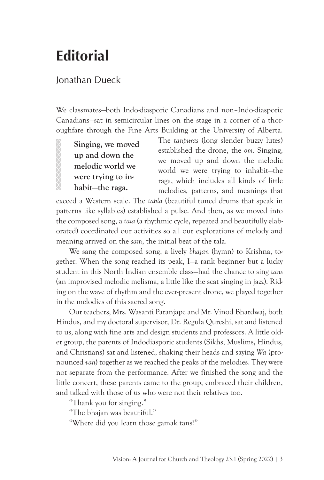## **Editorial**

## Jonathan Dueck

We classmates—both Indo-diasporic Canadians and non–Indo-diasporic Canadians—sat in semicircular lines on the stage in a corner of a thoroughfare through the Fine Arts Building at the University of Alberta.

**Singing, we moved up and down the melodic world we were trying to inhabit—the raga.**

The *tanpuras* (long slender buzzy lutes) established the drone, the *om*. Singing, we moved up and down the melodic world we were trying to inhabit—the raga, which includes all kinds of little melodies, patterns, and meanings that

exceed a Western scale. The *tabla* (beautiful tuned drums that speak in patterns like syllables) established a pulse. And then, as we moved into the composed song, a *tala* (a rhythmic cycle, repeated and beautifully elaborated) coordinated our activities so all our explorations of melody and meaning arrived on the *sam*, the initial beat of the tala.

We sang the composed song, a lively *bhajan* (hymn) to Krishna, together. When the song reached its peak, I—a rank beginner but a lucky student in this North Indian ensemble class—had the chance to sing *tans* (an improvised melodic melisma, a little like the scat singing in jazz). Riding on the wave of rhythm and the ever-present drone, we played together in the melodies of this sacred song.

Our teachers, Mrs. Wasanti Paranjape and Mr. Vinod Bhardwaj, both Hindus, and my doctoral supervisor, Dr. Regula Qureshi, sat and listened to us, along with fine arts and design students and professors. A little older group, the parents of Indodiasporic students (Sikhs, Muslims, Hindus, and Christians) sat and listened, shaking their heads and saying *Wa* (pronounced *vah*) together as we reached the peaks of the melodies. They were not separate from the performance. After we finished the song and the little concert, these parents came to the group, embraced their children, and talked with those of us who were not their relatives too.

"Thank you for singing."

"The bhajan was beautiful."

"Where did you learn those gamak tans?"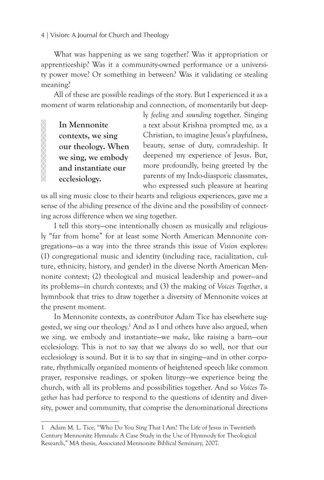## 4 | Vision: A Journal for Church and Theology

What was happening as we sang together? Was it appropriation or apprenticeship? Was it a community-owned performance or a university power move? Or something in between? Was it validating or stealing meaning?

All of these are possible readings of the story. But I experienced it as a moment of warm relationship and connection, of momentarily but deep-

**In Mennonite contexts, we sing our theology. When we sing, we embody and instantiate our ecclesiology.** 

XXXXXXXXXXXX

ly *feeling* and *sounding* together. Singing a text about Krishna prompted me, as a Christian, to imagine Jesus's playfulness, beauty, sense of duty, comradeship. It deepened my experience of Jesus. But, more profoundly, being greeted by the parents of my Indo-diasporic classmates, who expressed such pleasure at hearing

us all sing music close to their hearts and religious experiences, gave me a sense of the abiding presence of the divine and the possibility of connecting across difference when we sing together.

I tell this story—one intentionally chosen as musically and religiously "far from home" for at least some North American Mennonite congregations—as a way into the three strands this issue of *Vision* explores: (1) congregational music and identity (including race, racialization, culture, ethnicity, history, and gender) in the diverse North American Mennonite context; (2) theological and musical leadership and power—and its problems—in church contexts; and (3) the making of *Voices Together*, a hymnbook that tries to draw together a diversity of Mennonite voices at the present moment.

In Mennonite contexts, as contributor Adam Tice has elsewhere suggested, we sing our theology.<sup>1</sup> And as I and others have also argued, when we sing, we embody and instantiate—we *make*, like raising a barn—our ecclesiology. This is not to say that we always do so well, nor that our ecclesiology is sound. But it is to say that in singing—and in other corporate, rhythmically organized moments of heightened speech like common prayer, responsive readings, or spoken liturgy—we experience being the church, with all its problems and possibilities together. And so *Voices Together* has had perforce to respond to the questions of identity and diversity, power and community, that comprise the denominational directions

<sup>1</sup> Adam M. L. Tice, "Who Do You Sing That I Am? The Life of Jesus in Twentieth Century Mennonite Hymnals: A Case Study in the Use of Hymnody for Theological Research," MA thesis, Associated Mennonite Biblical Seminary, 2007.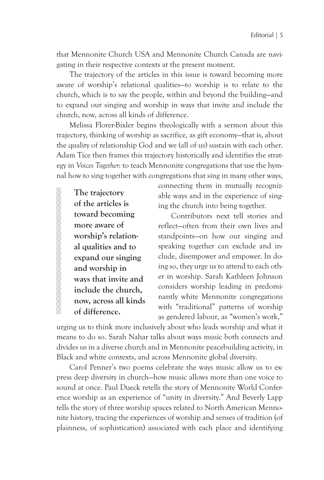that Mennonite Church USA and Mennonite Church Canada are navigating in their respective contexts at the present moment.

The trajectory of the articles in this issue is toward becoming more aware of worship's relational qualities—to worship is to relate to the church, which is to say the people, within and beyond the building—and to expand our singing and worship in ways that invite and include the church, now, across all kinds of difference.

Melissa Florer-Bixler begins theologically with a sermon about this trajectory, thinking of worship as sacrifice, as gift economy—that is, about the quality of relationship God and we (all of us) sustain with each other. Adam Tice then frames this trajectory historically and identifies the strategy in *Voices Together*: to teach Mennonite congregations that use the hymnal how to sing together with congregations that sing in many other ways,

**The trajectory of the articles is toward becoming more aware of worship's relational qualities and to expand our singing and worship in ways that invite and include the church, now, across all kinds of difference.**

connecting them in mutually recognizable ways and in the experience of singing the church into being together.

Contributors next tell stories and reflect—often from their own lives and standpoints—on how our singing and speaking together can exclude and include, disempower and empower. In doing so, they urge us to attend to each other in worship. Sarah Kathleen Johnson considers worship leading in predominantly white Mennonite congregations with "traditional" patterns of worship as gendered labour, as "women's work,"

urging us to think more inclusively about who leads worship and what it means to do so. Sarah Nahar talks about ways music both connects and divides us in a diverse church and in Mennonite peacebuilding activity, in Black and white contexts, and across Mennonite global diversity.

Carol Penner's two poems celebrate the ways music allow us to express deep diversity in church—how music allows more than one voice to sound at once. Paul Dueck retells the story of Mennonite World Conference worship as an experience of "unity in diversity." And Beverly Lapp tells the story of three worship spaces related to North American Mennonite history, tracing the experiences of worship and senses of tradition (of plainness, of sophistication) associated with each place and identifying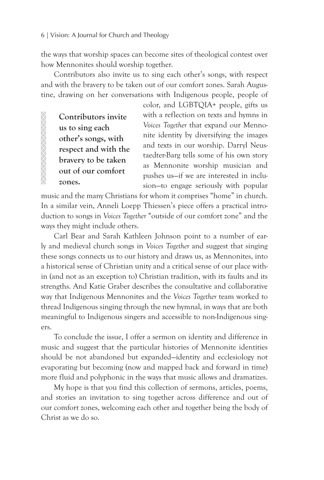the ways that worship spaces can become sites of theological contest over how Mennonites should worship together.

Contributors also invite us to sing each other's songs, with respect and with the bravery to be taken out of our comfort zones. Sarah Augustine, drawing on her conversations with Indigenous people, people of

**Contributors invite us to sing each other's songs, with respect and with the bravery to be taken out of our comfort zones.** 

XXXXXXXXXXXXXX

color, and LGBTQIA+ people, gifts us with a reflection on texts and hymns in *Voices Together* that expand our Mennonite identity by diversifying the images and texts in our worship. Darryl Neustaedter-Barg tells some of his own story as Mennonite worship musician and pushes us—if we are interested in inclusion—to engage seriously with popular

music and the many Christians for whom it comprises "home" in church. In a similar vein, Anneli Loepp Thiessen's piece offers a practical introduction to songs in *Voices Together* "outside of our comfort zone" and the ways they might include others.

Carl Bear and Sarah Kathleen Johnson point to a number of early and medieval church songs in *Voices Together* and suggest that singing these songs connects us to our history and draws us, as Mennonites, into a historical sense of Christian unity and a critical sense of our place within (and not as an exception to) Christian tradition, with its faults and its strengths. And Katie Graber describes the consultative and collaborative way that Indigenous Mennonites and the *Voices Together* team worked to thread Indigenous singing through the new hymnal, in ways that are both meaningful to Indigenous singers and accessible to non-Indigenous singers.

To conclude the issue, I offer a sermon on identity and difference in music and suggest that the particular histories of Mennonite identities should be not abandoned but expanded—identity and ecclesiology not evaporating but becoming (now and mapped back and forward in time) more fluid and polyphonic in the ways that music allows and dramatizes.

My hope is that you find this collection of sermons, articles, poems, and stories an invitation to sing together across difference and out of our comfort zones, welcoming each other and together being the body of Christ as we do so.